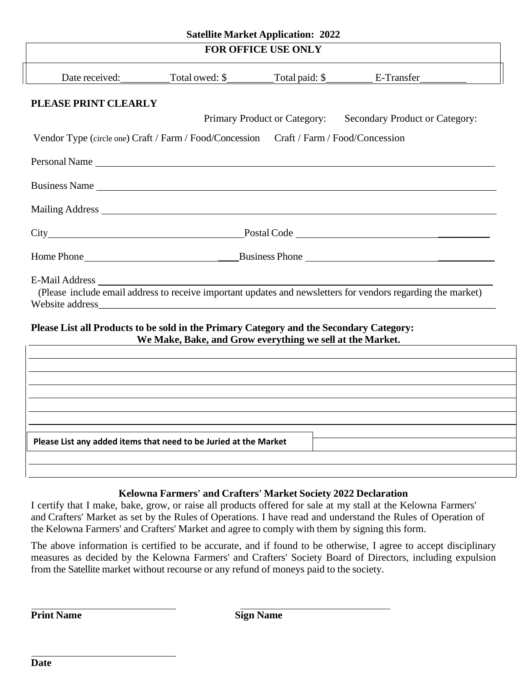|                                                                                         |                                                           | <b>Satellite Market Application: 2022</b> |                                                                                                              |
|-----------------------------------------------------------------------------------------|-----------------------------------------------------------|-------------------------------------------|--------------------------------------------------------------------------------------------------------------|
|                                                                                         |                                                           | <b>FOR OFFICE USE ONLY</b>                |                                                                                                              |
| Date received:                                                                          |                                                           |                                           |                                                                                                              |
| PLEASE PRINT CLEARLY                                                                    |                                                           |                                           |                                                                                                              |
|                                                                                         |                                                           | Primary Product or Category:              | Secondary Product or Category:                                                                               |
| Vendor Type (circle one) Craft / Farm / Food/Concession Craft / Farm / Food/Concession  |                                                           |                                           |                                                                                                              |
| Personal Name                                                                           |                                                           |                                           |                                                                                                              |
| Business Name                                                                           |                                                           |                                           |                                                                                                              |
| Mailing Address Mailing Address                                                         |                                                           |                                           |                                                                                                              |
|                                                                                         |                                                           |                                           |                                                                                                              |
|                                                                                         |                                                           |                                           |                                                                                                              |
| <b>E-Mail Address</b>                                                                   |                                                           |                                           | (Please include email address to receive important updates and newsletters for vendors regarding the market) |
| Please List all Products to be sold in the Primary Category and the Secondary Category: | We Make, Bake, and Grow everything we sell at the Market. |                                           |                                                                                                              |
|                                                                                         |                                                           |                                           |                                                                                                              |
|                                                                                         |                                                           |                                           |                                                                                                              |
|                                                                                         |                                                           |                                           |                                                                                                              |
|                                                                                         |                                                           |                                           |                                                                                                              |
|                                                                                         |                                                           |                                           |                                                                                                              |
| Please List any added items that need to be Juried at the Market                        |                                                           |                                           |                                                                                                              |
|                                                                                         |                                                           |                                           |                                                                                                              |

# **Kelowna Farmers' and Crafters' Market Society 2022 Declaration**

I certify that I make, bake, grow, or raise all products offered for sale at my stall at the Kelowna Farmers' and Crafters' Market as set by the Rules of Operations. I have read and understand the Rules of Operation of the Kelowna Farmers' and Crafters' Market and agree to comply with them by signing this form.

The above information is certified to be accurate, and if found to be otherwise, I agree to accept disciplinary measures as decided by the Kelowna Farmers' and Crafters' Society Board of Directors, including expulsion from the Satellite market without recourse or any refund of moneys paid to the society.

**Print Name Sign Name**